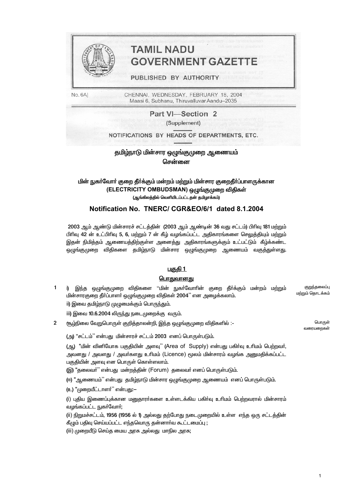

# **TAMIL NADU GOVERNMENT GAZET**

#### PUBLISHED BY AUTHORITY

No. 6A]

CHENNAI, WEDNESDAY, FEBRUARY 18, 2004 Maasi 6, Subhanu, Thiruvalluvar Aandu-2035

> Part VI-Section 2 (Supplement)

NOTIFICATIONS BY HEADS OF DEPARTMENTS, ETC.

### தமிழ்நாடு மின்சார ஒழுங்குமுறை ஆணையம் சென்னை

#### மின் நுகர்வோர் குறை தீர்க்கும் மன்றம் மற்றும் மின்சார குறைதீர்ப்பாளருக்கான (ELECTRICITY OMBUDSMAN) ஒழுங்குமுறை விதிகள் (ஆங்கிலத்தில் வெளியிடப்பட்டதன் தமிழாக்கம்)

#### Notification No. TNERC/ CGR&EO/6/1 dated 8.1.2004

2003 ஆம் ஆண்டு மின்சாரச் சட்டத்தின் (2003 ஆம் ஆண்டின் 36 வது சட்டம்) பிரிவு 181 மற்றும் பிரிவு 42 ன் உட்பிரிவு 5, 6, மற்றும் 7 ன் கீழ் வழங்கப்பட்ட அதிகாரங்களை செலுத்தியும் மற்றும் இதன் நிமித்தம் ஆணையத்திற்குள்ள அனைத்து அதிகாரங்களுக்கும் உட்பட்டும் கீழ்க்கண்ட ஒழுங்குமுறை விதிகளை தமிழ்நாடு மின்சார ஒழுங்குமுறை ஆணையம் வகுத்துள்ளது.

#### <u>பகுதி 1</u>

#### பொதுவானது

 $\mathbf{1}$ i) இந்த ஒழுங்குமுறை விதிகளை ''மின் நுகா்வோாின் குறை தீா்க்கும் மன்றம் மற்றும் குறுந்தலைப்பு மற்றும் தொடக்கம் மின்சாரகுறை தீா்ப்பாளா் ஒழுங்குமுறை விதிகள் 2004" என அழைக்கலாம். ii) இவை தமிழ்நாடு முழுமைக்கும் பொருந்தும்.

iii) இவை 10.6.2004 லிருந்து நடைமுறைக்கு வரும்.

 $\overline{2}$ (கூழ்நிலை வேறுபொருள் குறித்தாலன்றி, இந்த ஒழுங்குமுறை விதிகளில் :-

(அ) "சட்டம்" என்பது மின்சாரச் சட்டம் 2003 எனப் பொருள்படும்.

(ஆ) "மின் வினியோக பகுதியின் அளவு" (Area of Supply) என்பது பகிர்வு உரிமம் பெற்றவர், அவனது / அவளது / அவர்களது உரிமம் (Licence) மூலம் மின்சாரம் வழங்க அனுமதிக்கப்பட்ட பகுதியின் அளவு என பொருள் கொள்ளலாம்.

(இ) "தலைவர்" என்பது மன்றத்தின் (Forum) தலைவர் எனப் பொருள்படும்.

(ஈ) "ஆணையம்'' என்பது தமிழ்நாடு மின்சார ஒழுங்குமுறை ஆணையம் எனப் பொருள்படும்.

(உ) "முறையீட்டாளர்" என்பது:-

(i) புதிய இணைப்புக்கான மனுதாரா்களை உள்ளடக்கிய பகிா்வு உாிமம் பெற்றவரால் மின்சாரம் வழங்கப்பட்ட நுகர்வோர்;

(ii) நிறுமச்சட்டம், 1956 (1956 ல் 1) அல்லது தற்போது நடைமுறையில் உள்ள எந்த ஒரு சட்டத்தின் கீழும் பதிவு செய்யப்பட்ட எந்தவொரு தன்னாா்வ கூட்டமைப்பு;

(iii) முறையீடு செய்த மைய அரசு அல்லது மாநில அரசு;

பொருள் வரையறைகள்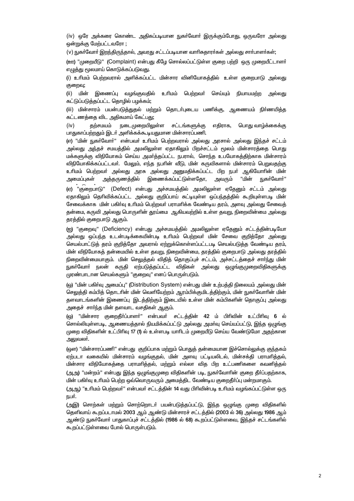(iv) ஒரே அக்கரை கொண்ட அதிகப்படியான நுகா்வோா் இருக்கும்போது, ஒருவரோ அல்லது ஒன்றுக்கு மேற்பட்டவரோ ;

(v) நுகர்வோர் இறந்திருந்தால், அவரது சட்டப்படியான வாரிசுதாரர்கள் அல்லது சார்பாளர்கள்;

(ஊ) "முறையீடு" (Complaint) என்பது கீழே சொல்லப்பட்டுள்ள குறை பற்றி ஒரு முறையீட்டாளர் எழுத்து மூலமாய் கொடுக்கப்படுவது.

(i) உரிமம் பெற்றவரால் அளிக்கப்பட்ட மின்சார வினியோகத்தில் உள்ள குறைபாடு அல்லது குறைவு;

(ii) மின் இணைப்பு வமங்குவதில் உரிமம் பெற்றவர் செய்யும் நியாயமற்ற அல்லகு கட்டுப்படுத்தப்பட்ட தொழில் பழக்கம்;

(iii) மின்சாரம் பயன்படுத்துதல் மற்றும் தொடா்புடைய பணிக்கு, ஆணையம் நிா்ணயித்த கட்டணத்தை விட அதிகமாய் கேட்பது;

நடைமுறையிலுள்ள சட்டங்களுக்கு  $(iv)$ எகிராக. பொகு வாம்க்கைக்கு கற்சமயம் பாதுகாப்பற்றதும் இடர் அளிக்கக்கூடியதுமான மின்சாரப்பணி.

(எ) "மின் நுகர்வோர்" என்பவர் உரிமம் பெற்றவரால் அல்லது அரசால் அல்லது இந்தச் சட்டம் அல்லது அந்தச் சமயத்தில் அமலிலுள்ள எதாகிலும் பிறச்சட்டம் மூலம் மின்சாரத்தை பொது மக்களுக்கு விநியோகம் செய்ய அமர்த்தப்பட்ட நபரால், சொந்த உபயோகத்திற்காக மின்சாரம் விநியோகிக்கப்பட்டவா். மேலும், எந்த நபாின் வீடு, மின் கருவிகளால் மின்சாரம் பெறுவதற்கு உரிமம் பெற்றவர் அல்லது அரசு அல்லது அனுமதிக்கப்பட்ட பிற நபர் ஆகியோரின் மின் அமைப்பகள் அத்தருணத்தில் இணைக்கப்பட்டுள்ளதோ, அவரும் "மின் ா.கா்வோா்"

(ஏ) "குறைபாடு" (Defect) என்பது அச்சமயத்தில் அமலிலுள்ள ஏதேனும் சட்டம் அல்லது ஏதாகிலும் தெரிவிக்கப்பட்ட அல்லது குறிப்பாய் சுட்டியுள்ள ஒப்பந்தத்தில் கூறியுள்ளபடி மின் சேவைக்காக மின் பகிர்வு உரிமம் பெற்றவர் பராமரிக்க வேண்டிய தரம், அளவு அல்லது சேவைத் தன்மை, கருவி அல்லது பொருளின் தூய்மை ஆகியவற்றில் உள்ள தவறு, நிறைவின்மை அல்லது தரத்தில் குறைபாடு ஆகும்.

(ഇ) "குறைவு" (Deficiency) என்பது அச்சமயத்தில் அமலிலுள்ள எதேனும் சட்டத்தின்படியோ அல்லது ஒப்பந்த உடன்படிக்கையின்படி உரிமம் பெற்றவர் மின் சேவை குறித்தோ அல்லது செயல்பாட்டுத் தரம் குறித்தோ அவரால் ஏற்றுக்கொள்ளப்பட்டபடி செயல்படுத்த வேண்டிய தரம், மின் விநியோகத் தன்மையில் உள்ள தவறு, நிறைவின்மை, தரத்தில் குறைபாடு அல்லது தரத்தில் நிறைவின்மையாகும். மின் செலுத்தல் விதித் தொகுப்புச் சட்டம், அச்சட்டத்தைச் சார்ந்து மின் நுகா்வோா் நலன் கருதி ஏற்படுத்தப்பட்ட விதிகள் அல்லது ஒழுங்குமுறைவிதிகளுக்கு முரண்பாடான செயல்களும் "குறைவு" எனப் பொருள்படும்.

(ஒ) "மின் பகிர்வு அமைப்பு" (Distribution System) என்பது மின் உற்பத்தி நிலையம் அல்லது மின் செலுத்தி கம்பித் தொடரின் மின் வெளியேற்றம் ஆரம்பிக்குமிடத்திற்கும், மின் நுகர்வோரின் மின் தளவாடங்களின் இணைப்பு இடத்திற்கும் இடையில் உள்ள மின் கம்பிகளின் தொகுப்பு அல்லது அதைச் சாா்ந்த மின் தளவாட வசதிகள் ஆகும்.

(ஓ) "மின்சார குறைகீர்ப்பாளர்" என்பவர் சட்டக்கின் 42 ம் பிரிவின் உட்பிரிவு 6 ல் சொல்லியுள்ளபடி, ஆணையத்தால் நியமிக்கப்பட்டு அல்லது அமாவு செய்யப்பட்டு, இந்த ஒழுங்கு முறை விதிகளின் உட்பிரிவு 17 (1) ல் உள்ளபடி யாரிடம் முறையீடு செய்ய வேண்டுமோ அதற்கான அலுவலர்.

(ளை) ''மின்சாாப்பணி'' என்பகு குறிப்பாக மற்றும் பொகுத் கன்மையான இச்சொல்லுக்கு குந்தகம் ஏற்படா வகையில் மின்சாரம் வழங்குதல், மின் அளவு பட்டியலிடல், மின்சக்தி பராமரித்தல், மின்சார விநியோகத்தை பராமரித்தல், மற்றும் எல்லா வித பிற உட்பணிகளை கவனித்தல் (அஅ) "மன்றம்" என்பது இந்த ஒழுங்குமுறை விதிகளின் படி, நுகர்வோரின் குறை தீர்ப்பதற்காக, மின் பகிர்வு உரிமம் பெற்ற ஒவ்வொருவரும் அமைத்திட வேண்டிய குறைதீர்ப்பு மன்றமாகும்.

(அஆ) "உரிமம் பெற்றவர்" என்பவர் சட்டத்தின் 14 வது பிரிவின்படி உரிமம் வழங்கப்பட்டுள்ள ஒரு நபர்.

(அஇ) சொற்கள் மற்றும் சொற்றொடா் பயன்படுத்தப்பட்டு, இந்த ஒழுங்கு முறை விதிகளில் தெளிவாய் கூறப்படாமல் 2003 ஆம் ஆண்டு மின்சாரச் சட்டத்தில் (2003 ல் 36) அல்லது 1986 ஆம் ஆண்டு நுகர்வோர் பாதுகாப்புச் சட்டத்தில் (1986 ல் 68) கூறப்பட்டுள்ளவை, இந்தச் சட்டங்களில் கூறப்பட்டுள்ளவை போல் பொருள்படும்.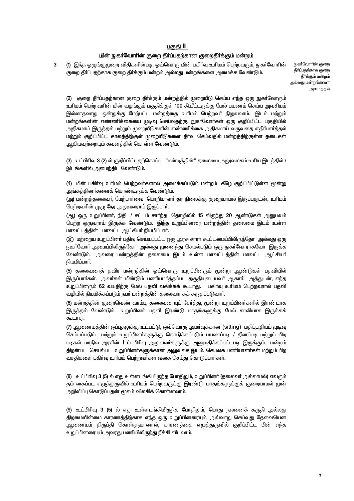#### <u>பகுதி II</u>

#### <u>மின் நுகர்வோரின் குறை தீர்ப்பதற்கான குறைதீர்க்கும் மன்றம்</u>

(1) இந்த ஒழுங்குமுறை விதிகளின்படி, ஒவ்வொரு மின் பகிர்வு உரிமம் பெற்றவரும், நுகர்வோரின்  $\overline{3}$ குறை தீர்ப்பதற்காக குறை தீர்க்கும் மன்றம் அல்லது மன்றங்களை அமைக்க வேண்டும்.

நுகர்வோரின் குறை தீர்ப்பகற்காக குறை தீர்க்கும் மன்றம் அல்லது மன்றங்களை அமைத்தல்

(2) குறை தீா்ப்பதற்கான குறை தீா்க்கும் மன்றத்தில் முறையீடு செய்ய எந்த ஒரு நுகா்வோரும் உரிமம் பெற்றவரின் மின் வழங்கும் பகுதிக்குள் 100 கி.மீட்டருக்கு மேல் பயணம் செய்ய அவசியம் இல்லாதவாறு ஒன்றுக்கு மேற்பட்ட மன்றத்தை உரிமம் பெற்றவா் நிறுவலாம். இடம் மற்றும் மன்றங்களின் எண்ணிக்கையை முடிவு செய்வதற்கு, நுகா்வோா்கள் ஒரு குறிப்பிட்ட பகுதியில் அதிகமாய் இருத்தல் மற்றும் முறையீடுகளின் எண்ணிக்கை அதிகமாய் வருவதை எதிர்பார்த்தல், மற்றும் குறிப்பிட்ட காலத்திற்குள் முறையீடுகளை தீா்வு செய்வதில் மன்றத்திற்குள்ள தடைகள் ஆகியவற்றையும் கவனத்தில் கொள்ள வேண்டும்.

(3) உட்பிரிவு 3 (2) ல் குறிப்பிட்டதற்கொப்ப, "மன்றத்தின்" தலைமை அலுவலகம் உரிய இடத்தில் / இடங்களில் அமைந்திட வேண்டும்.

(4) மின் பகிா்வு உரிமம் பெற்றவா்களால் அமைக்கப்படும் மன்றம் கீழே குறிப்பிட்டுள்ள மூன்று அங்கத்தினா்களைக் கொண்டிருக்க வேண்டும்.

(அ) மன்றத்தலைவா், மேற்பாா்வை பொறியாளா் தர நிலைக்கு குறையாமல் இருப்பதுடன், உாிமம் பெற்றவரின் முழு நேர அலுவலராய் இருப்பார்.

(ஆ) ஒரு உறுப்பினர், நிதி / சட்டம் சார்ந்த தொழிலில் 15 லிருந்து 20 ஆண்டுகள் அனுபவம் பெற்ற ஒருவராய் இருக்க வேண்டும். இந்த உறுப்பினரை மன்றத்தின் தலைமை இடம் உள்ள மாவட்டத்தின் மாவட்ட ஆட்சியர் நியமிப்பார்.

(இ) மற்றைய உறுப்பினா் பதிவு செய்யப்பட்ட ஒரு அரசு சாரா கூட்டமைப்பிலிருந்தோ அல்லது ஒரு நுகா்வோா் அமைப்பிலிருந்தோ அல்லது முனைந்து செயல்படும் ஒரு நுகா்வோராகவோ இருக்க வேண்டும். அவரை மன்றத்தின் தலைமை இடம் உள்ள மாவட்டத்தின் மாவட்ட ஆட்சியர் நியமிப்பார்.

(5) தலைவரைத் தவிர மன்றத்தின் ஒவ்வொரு உறுப்பினரும் மூன்று ஆண்டுகள் பதவியில் இருப்பாா்கள். அவா்கள் மீண்டும் பணியமா்த்தப்பட தகுதியுடையவா் ஆகாா். அத்துடன், எந்த உறுப்பினரும் 62 வயதிற்கு மேல் பதவி வகிக்கக் கூடாது. பகிா்வு உாிமம் பெற்றவரால் பதவி வழியில் நியமிக்கப்படும் நபர் மன்றத்தின் தலைவராகக் கருதப்படுவார்.

(6) மன்றத்தின் குறைவெண் வரம்பு, தலைவரையும் சேர்த்து, மூன்று உறுப்பினர்களில் இரண்டாக இருத்தல் வேண்டும். உறுப்பினா் பதவி இரண்டு மாதங்களுக்கு மேல் காலியாக இருக்கக் கூடாகுட

(7) ஆணையத்தின் ஒப்புதலுக்கு உட்பட்டு, ஒவ்வொரு அமாவுக்கான (sitting) மதிப்பூதியம் முடிவு செய்யப்படும். மற்றும் உறுப்பினா்களுக்கு கொடுக்கப்படும் பயணப்படி / தினப்படி மற்றும் பிற படிகள் மாநில அரசின் l ம் பிரிவு <u>அலு</u>வலா்களுக்கு <u>அனு</u>மதிக்கப்பட்டபடி இருக்கும். மன்றம் திறன்பட செயல்பட உறுப்பினர்களுக்கான அலுவலக இடம், செயலக பணியாளர்கள் மற்றும் பிற வசதிகளை பகிர்வு உரிமம் பெற்றவர்கள் வகை செய்து கொடுப்பார்கள்.

(8) உட்பிரிவு 3 (5) ல் எது உள்ளடங்கியிருந்த போதிலும், உறுப்பினர் (தலைவர் அல்லாமல்) எவரும் தம் கைப்பட எழுத்துருவில் உரிமம் பெற்றவருக்கு இரண்டு மாதங்களுக்குக் குறையாமல் முன் அறிவிப்பு கொடுப்பதன் மூலம் விலகிக் கொள்ளலாம்.

(9) உட்பிரிவு 3 (5) ல் எது உள்ளடங்கியிருந்த போதிலும், பொது நலனைக் கருதி அல்லது திறமையின்மை காரணத்திற்காக எந்த ஒரு உறுப்பினரையும், அவ்வாறு செய்வது தேவையென ஆணையம் திருப்தி கொள்ளுமானால், காரணத்தை எழுத்துருவில் குறிப்பிட்ட பின் எந்த உறுப்பினரையும் அவரது பணியிலிருந்து நீக்கி விடலாம்.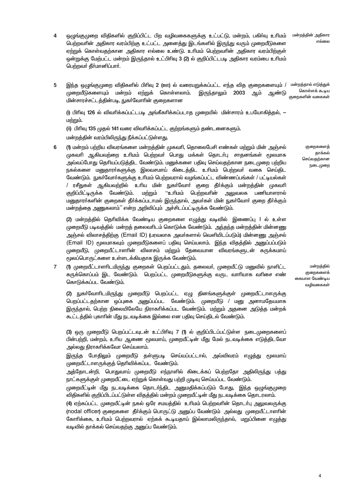மன்றத்தின் அதிகார எல்லை

- $\overline{4}$ ஒழுங்குமுறை விதிகளில் குறிப்பிட்ட பிற வழிவகைகளுக்கு உட்பட்டு, மன்றம், பகிா்வு உரிமம் பெற்றவரின் அகிகாா வாம்பிற்கு உட்பட்ட அனைக்கு இடங்களில் இருந்து வரும் முறையீடுகளை ஏற்றுக் கொள்வதற்கான அதிகார எல்லை உண்டு. உரிமம் பெற்றவரின் அதிகார வரம்பிற்குள் ஒன்றுக்கு மேற்பட்ட மன்றம் இருந்தால் உட்பிரிவு 3 (2) ல் குறிப்பிட்டபடி அதிகார வரம்பை உரிமம் பெற்றவர் தீர்மானிப்பார்.
- இந்த ஒழுங்குமுறை விதிகளில் பிரிவு 2 (ஊ) ல் வரையறுக்கப்பட்ட எந்த வித குறைகளையும் / மன்றத்தால் எடுத்துக் 5  $Q = \frac{1}{2} \pi \sin \pi x$ முறையீடுகளையும் மன்றம் ஏற்றுக் கொள்ளலாம். இருந்தாலும் 2003 ஆம் ஆண்டு .<br>குறைகளின் வகைகள் மின்சாரச்சட்டத்தின்படி, நுகர்வோரின் குறைகளான

(i) பிரிவு 126 ல் விவரிக்கப்பட்டபடி அங்கீகரிக்கப்படாத முறையில் மின்சாரம் உபயோகித்தல், — <u>மற்றும்.</u>

(ii) பிரிவு 135 முதல் 141 வரை விவரிக்கப்பட்ட குற்றங்களும் தண்டனைகளும்.

மன்றத்தின் வரம்பிலிருந்து நீக்கப்பட்டுள்ளது.

6 (1) மன்றம் பற்றிய விவரங்களை மன்றத்தின் முகவரி, தொலைபேசி எண்கள் மற்றும் மின் அஞ்சல் முகவரி ஆகியவற்றை உரிமம் பெற்றவர் பொது மக்கள் தொடர்பு சாதனங்கள் மூலமாக அவ்வப்போது தெரியப்படுத்திட வேண்டும். மனுக்களை பதிவு செய்வதற்கான நடைமுறை பற்றிய நகல்களை மனுதாரா்களுக்கு இலவசமாய் கிடைத்திட உரிமம் பெற்றவா் வகை செய்திட வேண்டும். நுகா்வோா்களுக்கு உாிமம் பெற்றவரால் வழங்கப்பட்ட விண்ணப்பங்கள் / பட்டியல்கள் / ரசீதுகள் ஆகியவற்றில் உரிய மின் நுகர்வோர் குறை தீர்க்கும் மன்றத்தின் முகவரி ''உரிமம் பெற்றவரின் அலுவலக பணியாளரால் குறிப்பிட்டிருக்க வேண்டும். மற்றும் மனுதாரா்களின் குறைகள் தீா்க்கப்படாமல் இருந்தால், அவா்கள் மின் நுகா்வோா் குறை தீா்க்கும் மன்றத்தை அணுகலாம்'' என்ற அறிவிப்பும் அச்சிடப்பட்டிருக்க வேண்டும்.

(2) மன்றத்தில் தெரிவிக்க வேண்டிய குறைகளை எழுத்து வடிவில் இணைப்பு l ல் உள்ள முறையீடு படிவத்தில் மன்றத் தலைவரிடம் கொடுக்க வேண்டும். அந்தந்த மன்றத்தின் மின்னணு அஞ்சல் விலாசத்திற்கு (Email ID) (பரவலாக அவர்களால் வெளியிடப்படும்) மின்னணு அஞ்சல் (Email ID) மூலமாகவும் முறையீடுகளைப் பதிவு செய்யலாம். இந்த விதத்தில் அனுப்பப்படும் முறையீடு, முறையீட்டாளாின் விலாசம் மற்றும் தேவையான விவரங்களுடன் சுருக்கமாய் மூலப்பொருட்களை உள்ளடக்கியதாக இருக்க வேண்டும்.

(1) முறையீட்டாளரிடமிருந்து குறைகள் பெறப்பட்டதும், தலைவர், முறையீட்டு மனுவில் நாளிட்ட  $\overline{7}$ சுருக்கொப்பம் இட வேண்டும். பெறப்பட்ட முறையீடுகளுக்கு வருட வாரியாக வரிசை எண் கொடுக்கப்பட வேண்டும்.

மன்றத்தில் குறைகளைக் கையாள வேண்டிய வழிவகைகள்

(2) நுகா்வோாிடமிருந்து முறையீடு பெறப்பட்ட ஏழு தினங்களுக்குள் முறையீட்டாளருக்கு பெறப்பட்டதற்கான ஒப்புகை அனுப்பப்பட வேண்டும். முறையீடு / மனு அனாமதேயமாக இருந்தால், பெற்ற நிலையிலேயே நிராகரிக்கப்பட வேண்டும். மற்றும் அதனை அடுத்த மன்றக் கூட்டத்தில் புகாரின் மீது நடவடிக்கை இல்லை என பதிவு செய்திடல் வேண்டும்.

(3) ஒரு முறையீடு பெறப்பட்டவுடன் உட்பிரிவு 7 (1) ல் குறிப்பிடப்பட்டுள்ள நடைமுறைகளைப் பின்பற்றி, மன்றம், உரிய ஆணை மூலமாய், முறையீட்டின் மீது மேல் நடவடிக்கை எடுத்திடவோ அல்லது நிராகரிக்கவோ செய்யலாம்.

இருந்த போதிலும் முறையீடு தள்ளுபடி செய்யப்பட்டால், அவ்விவரம் எழுத்து மூலமாய் முறையீட்டாளருக்குத் தெரிவிக்கப்பட வேண்டும்.

அத்தோடன்றி, பொதுவாய் முறையீடு எந்நாளில் கிடைக்கப் பெற்றதோ அதிலிருந்து பத்து நாட்களுக்குள் முறையீட்டை ஏற்றுக் கொள்வது பற்றி முடிவு செய்யப்பட வேண்டும்.

முறையீட்டின் மீது நடவடிக்கை தொடர்ந்திட அனுமதிக்கப்படும் போது, இந்த ஒழுங்குமுறை விதிகளில் குறிப்பிடப்பட்டுள்ள விதத்தில் மன்றம் முறையீட்டின் மீது நடவடிக்கை தொடரலாம்.

(4) ஏற்கப்பட்ட முறையீட்டின் நகல் ஒரே சமயத்தில் உரிமம் பெற்றவரின் தொடா்பு அலுவலருக்கு (nodal officer) குறைகளை தீர்க்கும் பொருட்டு அனுப்ப வேண்டும் அல்லது முறையீட்டாளரின் கோரிக்கை, உரிமம் பெற்றவரால் ஏற்கக் கூடியதாய் இல்லாமலிருந்தால், மறுப்பினை எழுத்து வடிவில் தாக்கல் செய்வதற்கு அனுப்ப வேண்டும்.

குறைகளைக் தாக்கல் செய்வதற்கான நடைமுறை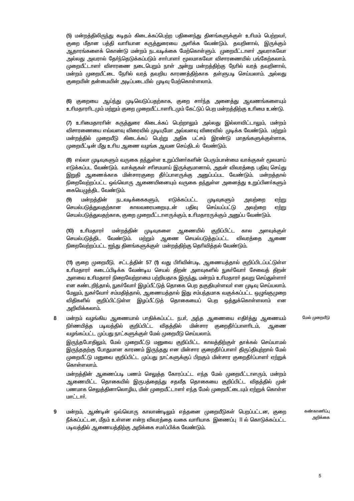(5) மன்றத்திலிருந்து கடிதம் கிடைக்கப்பெற்ற பதினைந்து தினங்களுக்குள் உரிமம் பெற்றவர், குறை மீதான பத்தி வாரியான கருத்துரையை அளிக்க வேண்டும். தவறினால், இருக்கும் ஆதாரங்களைக் கொண்டு மன்றம் நடவடிக்கை மேற்கொள்ளும். முறையீட்டாளா் அவராகவோ அல்லது அவரால் தோ்ந்தெடுக்கப்படும் சாா்பாளா் மூலமாகவோ விசாரணையில் பங்கேற்கலாம். முறையீட்டாளா் விசாரணை நடைபெறும் நாள் அன்று மன்றத்திற்கு நோில் வரத் தவறினால், மன்றம் முறையீட்டை நேரில் வரத் தவறிய காரணத்திற்காக தள்ளுபடி செய்யலாம். அல்லது குறையின் தன்மையின் அடிப்படையில் முடிவு மேற்கொள்ளலாம்.

(6) குறையை ஆய்ந்து முடிவெடுப்பதற்காக, குறை சாா்ந்த அனைத்து ஆவணங்களையும் உரிமகாரரிடமும் மற்றும் குறை முறையீட்டாளரிடமும் கேட்டுப் பெற மன்றத்திற்கு உரிமை உண்டு.

(7) உரிமைதாரரின் கருத்துரை கிடைக்கப் பெற்றாலும் அல்லது இல்லாவிட்டாலும், மன்றம் விசாரணையை எவ்வளவு விரைவில் முடியுமோ அவ்வளவு விரைவில் முடிக்க வேண்டும். மற்றும் மன்றத்தில் முறையீடு கிடைக்கப் பெற்று அதிக பட்சம் இரண்டு மாதங்களுக்குள்ளாக, முறையீட்டின் மீது உரிய ஆணை வழங்க ஆவன செய்திடல் வேண்டும்.

(8) எல்லா முடிவுகளும் வருகை தந்துள்ள உறுப்பினர்களின் பெரும்பான்மை வாக்குகள் மூலமாய் எடுக்கப்பட வேண்டும். வாக்குகள் சாிசமமாய் இருக்குமானால், அதன் விவரத்தை பதிவு செய்து இறுதி ஆணைக்காக மின்சாரகுறை தீா்ப்பாளருக்கு அனுப்பப்பட வேண்டும். மன்றத்தால் நிறைவேற்றப்பட்ட ஒவ்வொரு ஆணையினையும் வருகை தந்துள்ள அனைத்து உறுப்பினர்களும் கையெழுத்திட வேண்டும்.

மன்றக்கின்  $(9)$ **நடவடிக்கைகளும்.** எடுக்கப்பட்ட முடிவுகளும் **அவ**ற்றை ஏற்று செயல்படுக்குவகற்கான காலவரையறையுடன் பகிவ செய்யப்பட்டு அவற்றை ஏற்று செயல்படுத்துவதற்காக, குறை முறையீட்டாளருக்கும், உரிமதாரருக்கும் அனுப்ப வேண்டும்.

(10) உரிமகாரர் மன்றக்கின் முடிவுகளை ஆணையில் குறிப்பிட்ட கால <u>அளவுக்குள்</u> செயல்படுத்திட வேண்டும். மற்றும் ஆணை செயல்படுத்தப்பட்ட விவாக்கை **ஆணை** நிறைவேற்றப்பட்ட ஐந்து தினங்களுக்குள் மன்றத்திற்கு தெரிவித்தல் வேண்டும்.

(11) குறை முறையீடு, சட்டத்தின் 57 (1) வது பிரிவின்படி, ஆணையத்தால் குறிப்பிடப்பட்டுள்ள உரிமதாரா் கடைப்பிடிக்க வேண்டிய செயல் திறன் அளவுகளில் நுகா்வோா் சேவைத் திறன் அளவை உரிமதாரர் நிறைவேற்றாமை பற்றியதாக இருந்து, மன்றம் உரிமதாரர் தவறு செய்துள்ளார். என கண்டறிந்தால், நுகர்வோர் இழப்பீட்டுத் தொகை பெற தகுதியுள்ளவர் என முடிவு செய்யலாம். மேலும், நுகர்வோர் சம்மதித்தால், ஆணையத்தால் இது சம்பந்தமாக வகுக்கப்பட்ட ஒழுங்குமுறை விதிகளில் குறிப்பிட்டுள்ள இழப்பீட்டுத் தொகையைப் பெற ஒத்துக்கொள்ளலாம் அறிவிக்கலாம்.

மேல் முறையீடு 8 மன்றம் வழங்கிய ஆணையால் பாதிக்கப்பட்ட நபர், அந்த ஆணையை எதிர்த்து ஆணையம் நிர்ணயித்த படிவத்தில் குறிப்பிட்ட விதத்தில் மின்சார குறைகீா்ப்பாளாிடம். ஆணை வழங்கப்பட்ட முப்பது நாட்களுக்குள் மேல் முறையீடு செய்யலாம். இருந்தபோகிலும். மேல் முறையீட்டு மனுவை குறிப்பிட்ட காலக்கிற்குள் காக்கல் செய்யாமல் இருந்ததற்கு போதுமான காரணம் இருந்தது என மின்சார குறைதீா்ப்பாளா் திருப்தியுற்றால் மேல்

முறையீட்டு மனுவை குறிப்பிட்ட முப்பது நாட்களுக்குப் பிறகும் மின்சார குறைதீா்ப்பாளா் ஏற்றுக் கொள்ளலாம்.

மன்றத்தின் ஆணைப்படி பணம் செலுத்த கோரப்பட்ட எந்த மேல் முறையீட்டாளரும், மன்றம் ஆணையிட்ட தொகையில் இருபத்தைந்து சதவீத தொகையை குறிப்பிட்ட விதத்தில் முன் பணமாக செலுத்தினாலொழிய, மின் முறையீட்டாளர் எந்த மேல் முறையீட்டையும் ஏற்றுக் கொள்ள மாட்டார்.

கண்காணிப்பு 9 மன்றம், ஆண்டின் ஒவ்வொரு காலாண்டிலும் எத்தனை முறையீடுகள் பெறப்பட்டன, குறை நீக்கப்பட்டன, மீதம் உள்ளன என்ற விவரத்தை வகை வாரியாக இணைப்பு II ல் கொடுக்கப்பட்ட படிவத்தில் ஆணையத்திற்கு அறிக்கை சமர்ப்பிக்க வேண்டும்.

அறிக்கை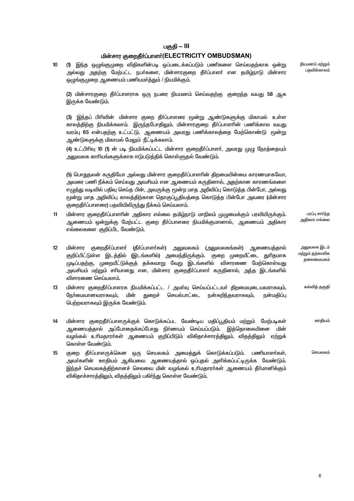#### பகுதி — III

#### பின்சார குறைதீர்ப்பாளர்(ELECTRICITY OMBUDSMAN)

 $10<sup>10</sup>$ (1) இந்த ஒழுங்குமுறை விதிகளின்படி ஒப்படைக்கப்படும் பணிகளை செய்வதற்காக ஒன்று அல்லது அதற்கு மேற்பட்ட நபர்களை, மின்சாரகுறை தீர்ப்பாளர் என தமிழ்நாடு மின்சார ஒழுங்குமுறை ஆணையம் பணியமர்த்தும் / நியமிக்கும்.

(2) மின்சாரகுறை தீர்ப்பாளராக ஒரு நபரை நியமனம் செய்வதற்கு குறைந்த வயது 58 ஆக இருக்க வேண்டும்.

(3) இந்தப் பிரிவின் மின்சார குறை தீா்ப்பாளரை மூன்று ஆண்டுகளுக்கு மிகாமல் உள்ள காலத்திற்கு நியமிக்கலாம். இருந்தபோதிலும், மின்சாரகுறை தீா்ப்பாளாின் பணிக்கால வயது வரம்பு 65 என்பதற்கு உட்பட்டு, ஆணையம் அவரது பணிக்காலத்தை மேற்கொண்டு மூன்று ஆண்டுகளுக்கு மிகாமல் மேலும் நீட்டிக்கலாம்.

(4) உட்பிரிவு 10 (1) ன் படி நியமிக்கப்பட்ட மின்சார குறைதீா்ப்பாளா், அவரது முழு நேரத்தையும் அலுவலக காரியங்களுக்காக ஈடுபடுத்திக் கொள்ளுதல் வேண்டும்.

(5) பொதுநலன் கருதியோ அல்லது மின்சார குறைதீர்ப்பாளரின் திறமையின்மை காரணமாகவோ, அவரை பணி நீக்கம் செய்வது அவசியம் என ஆணையம் கருதினால், அதற்கான காரணங்களை எழுத்து வடிவில் பதிவு செய்த பின், அவருக்கு மூன்ற மாத அறிவிப்பு கொடுத்த பின்போ, அல்லது மூன்று மாத அறிவிப்பு காலத்திற்கான தொகுப்பூதியத்தை கொடுத்த பின்போ அவரை (மின்சார குறைதீா்ப்பாளரை) பதவியிலிருந்து நீக்கம் செய்யலாம்.

- $11$ மின்சார குறைதீா்ப்பாளாின் அதிகார எல்லை தமிழ்நாடு மாநிலம் முழுமைக்கும் பரவியிருக்கும். ஆணையம் ஒன்றுக்கு மேற்பட்ட குறை தீா்ப்பாளரை நியமிக்குமானால், ஆணையம் அதிகார எல்லைகளை குறிப்பிட வேண்டும்.
- $12<sup>°</sup>$ மின்சார குறைதீா்ப்பாளா் (தீா்ப்பாளா்கள்) அலுவலகம் (அலுவலகங்கள்) ஆணையத்தால் குறிப்பிட்டுள்ள இடத்தில் (இடங்களில்) அமைந்திருக்கும். குறை முறையீட்டை துரிதமாக முடிப்பதற்கு, முறையீட்டுக்குத் தக்கவாறு வேறு இடங்களில் விசாரணை மேற்கொள்வது அவசியம் மற்றும் சரியானது என, மின்சார குறைதீா்ப்பாளா் கருதினால், அந்த இடங்களில் விசாாணை செய்யலாம்.
- மின்சார குறைதீா்ப்பாளரக நியமிக்கப்பட்ட / அமா்வு செய்யப்பட்டவா் திறமையுடையவராகவும்,  $13$ **ரேர்மையானவராகவும்.** மின் துறைச் செயல்பாட்டை நன்கறிந்தவராகவும், நன்மகிப்பு பெற்றவராகவும் இருக்க வேண்டும்.
- $14$ மின்சார குறைதீா்ப்பாளருக்குக் கொடுக்கப்பட வேண்டிய மதிப்பூதியம் மற்றும் மேற்படிகள் ஊதியம் ஆணையத்தால் அப்போதைக்கப்போது நிா்ணயம் செய்யப்படும். இத்தொகையினை .<br>வழங்கல் உரிமதாரா்கள் ஆணையம் குறிப்பிடும் விகிதாச்சாரத்திலும், விதத்திலும் ஏற்றுக் கொள்ள வேண்டும்.
- 15 குறை தீா்ப்பாளருக்கென ஒரு செயலகம் அமைத்துக் கொடுக்கப்படும். பணியாளா்கள், அவா்களின் ஊதியம் ஆகியவை ஆணையத்தால் ஒப்புதல் அளிக்கப்பட்டிருக்க வேண்டும். இந்தச் செயலகத்திற்கானச் செலவை மின் வழங்கல் உரிமதாரா்கள் ஆணையம் தீா்மானிக்கும் விகிதாச்சாரத்திலும், விதத்திலும் பகிர்ந்து கொள்ள வேண்டும்.

6

நியமனம் மற்றும் பதவிக்காலம்

பாப்ப சார்ந்த .<br>அதிகார எல்லை

அலுவலக இடம் மற்றும் தற்காலிக கலைமையகம்

கல்வித் தகுதி

செயலகம்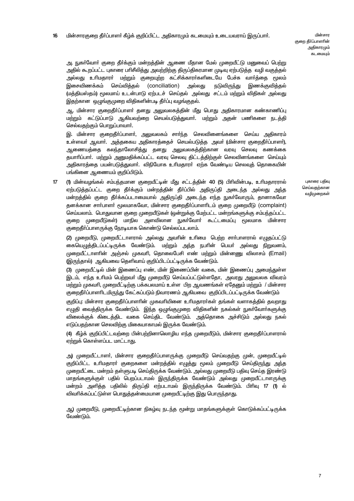அ. நுகா்வோா் குறை தீா்க்கும் மன்றத்தின் ஆணை மீதான மேல் முறையீட்டு மனுவைப் பெற்று அதில் கூறப்பட்ட புகாரை பாிசீலித்து அவற்றிற்கு திருப்திகரமான முடிவு ஏற்படுத்த வழி வகுத்தல் அல்லது உரிமதாரா் மற்றும் குறையுற்ற கட்சிக்காரா்களிடையே பேச்சு வாா்த்தை மூலம் இசைவிணக்கம் செய்வித்தல் (conciliation) அல்லது இணக்குவித்தல் நடுவிரு<u>ந்</u>து (மத்தியஸ்தம்) மூலமாய் உடன்பாடு ஏற்படச் செய்தல் அல்லது சட்டம் மற்றும் விதிகள் அல்லது இதற்கான ஒழுங்குமுறை விதிகளின்படி தீா்ப்பு வழங்குதல்.

ஆ. மின்சார குறைதீா்ப்பாளா் தனது அலுவலகத்தின் மீது பொது அதிகாரமான கண்காணிப்பு மற்றும் கட்டுப்பாடு ஆகியவற்றை செயல்படுத்துவார். மற்றும் அதன் பணிகளை நடத்தி செல்வதற்கும் பொறுப்பாவார்.

இ. மின்சார குறைதீா்ப்பாளா். அலுவலகம் சாா்ந்த செலவினைங்களை செய்ய அதிகாரம் உள்ளவர் அவார். அக்ககைய அகிகாாக்கைச் செயல்படுக்க அவர் (மின்சாா குறைகீர்ப்பாளர்). .<br>ஆணையத்தை கலந்தாலோசித்து தனது <u>அலு</u>வலகத்திற்கான வரவு செலவு கணக்கை தயாரிப்பார். மற்றும் அனுமதிக்கப்பட்ட வரவு செலவு திட்டத்திற்குள் செலவினங்களை செய்யும் அதிகாரத்தை பயன்படுத்துவார். விநியோக உரிமதாரர் ஏற்க வேண்டிய செலவுத் தொகையின் பங்கினை ஆணையம் குறிப்பிடும்.

 $17<sup>2</sup>$ (1) மின்வமங்கல் சம்பந்தமான குறையீட்டின் மீது சட்டத்தின் 40 (5) பிரிவின்படி, உரிமதாரரால் ஏற்படுத்தப்பட்ட குறை தீர்க்கும் மன்றத்தின் தீர்ப்பில் அதிருப்தி அடைந்த அல்லது அந்த மன்றத்தில் குறை தீா்க்கப்படாமையால் அதிருப்தி அடைந்த எந்த நுகா்வோரும், தானாகவோ தனக்கான சார்பாளர் மூலமாகவோ, மின்சார குறைதீர்ப்பாளரிடம் குறை முறையீடு (complaint) செய்யலாம். பொதுவான குறை முறையீடுகள் (ஒன்றுக்கு மேற்பட்ட மன்றங்களுக்கு சம்பந்தப்பட்ட குறை முறையீடுகள்) மாநில அளவிலான நுகர்வோர் கூட்டமைப்பு மூலமாக மின்சார குறைதீா்ப்பாளருக்கு நேரடியாக கொண்டு செல்லப்படலாம்.

பகாரை பகிவ செய்வதற்கான வமிமுறைகள்

(2) முறையீடு, முறையீட்டாளரால் அல்லது அவரின் உரிமை பெற்ற சார்பாளரால் எழுதப்பட்டு கையெமுக்கிடப்பட்டிருக்க வேண்டும். மற்றும் அந்த நபரின் பெயர் அல்லது நிறுவனம். முறையீட்டாளரின் அஞ்சல் முகவரி, கொலைபேசி எண் மற்றும் மின்னணு விலாசம் (Email) (இருந்தால்) ஆகியவை தெளிவாய் குறிப்பிடப்பட்டிருக்க வேண்டும்.

(3) முறையீட்டில் மின் இணைப்பு எண், மின் இணைப்பின் வகை, மின் இணைப்பு அமைந்துள்ள இடம், எந்த உரிமம் பெற்றவர் மீது முறையீடு செய்யப்பட்டுள்ளதோ, அவரது அலுவலக விவரம் மற்றும் முகவரி, முறையீட்டிற்கு பக்கபலமாய் உள்ள பிற ஆவணங்கள் ஏதேனும் மற்றும் / மின்சார குறைதீா்ப்பாளாிடமிருந்து கேட்கப்படும் நிவாரணம் ஆகியவை குறிப்பிடப்பட்டிருக்க வேண்டும்

குறிப்பு: மின்சார குறைதீா்ப்பாளாின் முகவாியினை உாிமதாரா்கள் தங்கள் வளாகத்தில் தவறாது எழுதி வைத்திருக்க வேண்டும். இந்த ஒழுங்குமுறை விதிகளின் நகல்கள் நுகர்வோர்களுக்கு விலைக்குக் கிடைத்திட வகை செய்திட வேண்டும். அத்தொகை அச்சிடும் அல்லது நகல் எடுப்பதற்கான செலவிற்கு மிகையாகாமல் இருக்க வேண்டும்.

(4) கீழ்க் குறிப்பிட்டவற்றை பின்பற்றினாலொழிய எந்த முறையீடும், மின்சார குறைதீா்ப்பாளரால் ஏற்றுக் கொள்ளப்பட மாட்டாது.

அ) முறையீட்டாளா், மின்சார குறைதீா்ப்பாளருக்கு முறையீடு செய்வதற்கு முன், முறையீட்டில் குறிப்பிட்ட உரிமதாரா் குறைகளை மன்றத்தில் எழுத்து மூலம் முறையீடு செய்திருந்து அந்த முறையீட்டை மன்றம் தள்ளுபடி செய்திருக்க வேண்டும். அல்லது முறையீடு பதிவு செய்த இரண்டு மாதங்களுக்குள் பதில் பெறப்படாமல் இருந்திருக்க வேண்டும் அல்லது முறையீட்டாளருக்கு மன்றம் அளித்த பதிலில் திருப்தி ஏற்படாமல் இருந்திருக்க வேண்டும். பிரிவு 17 (1) ல் விவரிக்கப்பட்டுள்ள பொதுத்தன்மையான முறையீட்டிற்கு இது பொருந்தாது.

ஆ) முறையீடு, முறையீட்டிற்கான நிகழ்வு நடந்த மூன்று மாதங்களுக்குள் கொடுக்கப்பட்டிருக்க வேண்டும்.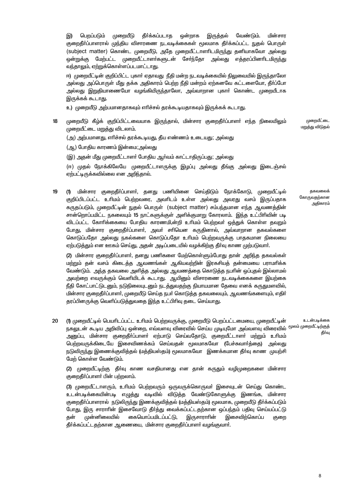இருத்தல் இ) பெmப்படும் முறையீடு தீர்க்கப்படாத ஒன்றாக வேண்டும். மின்சாா குறைகீர்ப்பாளாால் முந்திய விசாாணை நடவடிக்கைகள் மூலமாக கீர்க்கப்பட்ட நுகல் பொருள் (subject matter) கொண்ட முறையீடு, அதே முறையீட்டாளரிடமிருந்து தனியாகவோ அல்லது ஒன்றுக்கு மேற்பட்ட முறையீட்டாளர்களுடன் சேர்ந்தோ அல்லது எத்தரப்பினரிடமிருந்து வந்தாலும், ஏற்றுக்கொள்ளப்படமாட்டாது.

ஈ) முறையீட்டின் குறிப்பிட்ட புகாா் ஏதாவது நீதி மன்ற நடவடிக்கையில் நிலுவையில் இருந்தாலோ அல்லது அப்பொருள் மீது தக்க அதிகாரம் பெற்ற நீதி மன்றம் ஏற்கனவே கட்டளையோ, தீர்ப்போ அல்லது இறுதியாணையோ வழங்கியிருந்தாலோ, அவ்வாறான புகாா் கொண்ட முறையீடாக இருக்கக் கூடாது.

உ) முறையீடு அற்பமானதாகவும் எரிச்சல் தரக்கூடியதாகவும் இருக்கக் கூடாது.

 $18$ முறையீடு கீழ்க் குறிப்பிட்டவையாக இருந்தால், மின்சார குறைதீா்ப்பாளா் எந்த நிலையிலும் முறையீட்டை மறுத்து விடலாம்.

முறையீட்டை .<br>மறுத்து விடுதல்

தகவலைக்

அதிகாரம்

கோருவதற்கான

(அ) அற்பமானது, எரிச்சல் தரக்கூடியது, தீய எண்ணம் உடையது; அல்லது

(அ.) போகிய காரணம் இன்மை;அல்லது

(இ) அதன் மீது முறையீட்டாளா் போதிய ஆா்வம் காட்டாதிருப்பது; அல்லது

(ஈ) முதல் நோக்கிலேயே முறையீட்டாளருக்கு இழப்பு அல்லது தீங்கு அல்லது இடைஞ்சல் ஏற்பட்டிருக்கவில்லை என அறிந்தால்.

 $19$ மின்சார குறைதீா்ப்பாளா், தனது பணியினை செய்திடும் நோக்கோடு, முறையீட்டில்  $(1)$ குறிப்பிடப்பட்ட உரிமம் பெற்றவரை, அவரிடம் உள்ள அல்லது அவரது வசம் இருப்பதாக கருதப்படும். முறையீட்டின் நுதல் பொருள் (subject matter) சம்பந்தமான எந்த ஆவணத்தின் சான்றொப்பமிட்ட நகலையும் 15 நாட்களுக்குள் அளிக்குமாறு கோரலாம். இந்த உட்பிரிவின் படி விடப்பட்ட கோரிக்கையை போதிய காரணமி,ன்றி உரிமம் பெற்றவர் ஒத்துக் கொள்ள தவறும் போது, மின்சார குறைதீா்ப்பாளா், அவா் சாியென கருதினால், அவ்வாறான தகவல்களை கொடுப்பதோ அல்லது நகல்களை கொடுப்பதோ உரிமம் பெற்றவருக்கு பாதகமான நிலையை ஏற்படுத்தும் என ஊகம் செய்து, அதன் அடிப்படையில் வழக்கிற்கு தீா்வு காண முற்படுவாா்.

(2) மின்சார குறைதீா்ப்பாளா், தனது பணிகளை மேற்கொள்ளும்போது தான் அறிந்த தகவல்கள் மற்றும் தன் வசம் கிடைத்த ஆவணங்கள் ஆகியவற்றின் இரகசியத் தன்மையை பராமரிக்க வேண்டும். அந்த தகவலை அளித்த அல்லது அவணத்தை கொடுத்த நபரின் ஒப்புதல் இல்லாமல் அவற்றை எவருக்கும் வெளியிடக் கூடாது. ஆயினும் விசாரணை நடவடிக்கைகளை இயற்கை நீதி கோட்பாட்டுடனும், நடுநிலையுடனும் நடத்துவதற்கு நியாயமான தேவை எனக் கருதுமளவில், மின்சார குறைதீா்ப்பாளா், முறையீடு செய்த நபா் கொடுத்த தகவலையும், ஆவணங்களையும், எதிா் தரப்பினருக்கு வெளிப்படுத்துவதை இந்த உட்பிரிவு தடை செய்யாது.

 $20<sub>2</sub>$ (1) முறையீட்டில் பெயரிடப்பட்ட உரிமம் பெற்றவருக்கு, முறையீடு பெறப்பட்டமையை, முறையீட்டின் உடன்படிக்கை நகலுடன் கூடிய அறிவிப்பு ஒன்றை, எவ்வளவு விரைவில் செய்ய முடியுமோ அவ்வளவு விரைவில் <sup>மூலம்</sup> மு<sup>றையீட்டிற்குத்</sup> தீர்வு அனுப்ப, மின்சார குறைதீா்ப்பாளா் ஏற்பாடு செய்வதோடு, குறையீட்டாளா் மற்றும் உாிமம் பெற்றவருக்கிடையே இசைவிணக்கம் செய்வதன் மூலமாகவோ (பேச்சுவார்த்தை) அல்லது நடுவிருந்து இணைக்குவித்தல் (மத்தியஸ்தம்) மூலமாகவோ இணக்கமான தீா்வு காண முயற்சி மேற் கொள்ள வேண்டும்.

(2) முறையீட்டிற்கு தீா்வு காண வசதியானது என தான் கருதும் வழிமுறைகளை மின்சார குறைதீர்ப்பாளர் பின் பற்றலாம்.

(3) முறையீட்டாளரும், உரிமம் பெற்றவரும் ஒருவருக்கொருவர் இசைவுடன் செய்து கொண்ட உடன்படிக்கையின்படி எமுக்கு வடிவில் விடுக்க வேண்டுகோளுக்கு இணங்க, மின்சார குறைதீா்ப்பாளரால் நடுலிருந்து இணக்குவித்தல் (மத்தியஸ்தம்) மூலமாக, முறையீடு தீா்க்கப்படும் போது, இரு சாராாின் இசைவோடு தீா்த்து வைக்கப்பட்டதற்கான ஒப்பந்தம் பதிவு செய்யப்பட்டு கன் இசைவிற்கொப்ப முன்னிலையில் கையொப்பமிடப்பட்டு. இருசாராரின் குறை தீர்க்கப்பட்டதற்கான ஆணையை, மின்சார குறைதீர்ப்பாளர் வழங்குவார்.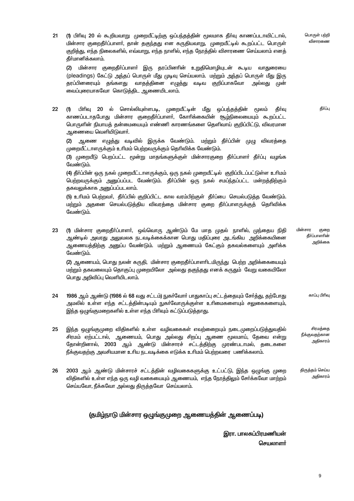| 21 | (1) பிரிவு 20 ல் கூறியவாறு  முறையீட்டிற்கு ஒப்பந்தத்தின் மூலமாக தீா்வு காணப்படாவிட்டால்,<br>மின்சார குறைதீா்ப்பாளா், தான் தகுந்தது என கருதியவாறு, முறையீட்டில் கூறப்பட்ட பொருள்<br>குறித்து, எந்த நிலைகளில், எவ்வாறு, எந்த நாளில், எந்த நேரத்தில் விசாரணை செய்யலாம் எனத்<br>தீர்மானிக்கலாம்.               | பொருள் பற்றி<br>விசாரணை                     |
|----|------------------------------------------------------------------------------------------------------------------------------------------------------------------------------------------------------------------------------------------------------------------------------------------------------------|---------------------------------------------|
|    | மின்சார குறைதீா்ப்பாளா் இரு தரப்பினாின் உறுதிமொழியுடன் கூடிய வாதுரையை<br>(2)<br>(pleadings) கேட்டு அந்தப் பொருள் மீது முடிவு செய்யலாம். மற்றும் அந்தப் பொருள் மீது இரு<br>தரப்பினரையும் தங்களது வாதத்தினை எழுத்து வடிவ குறிப்பாகவோ<br>அல்லது முன்<br>வைப்புரையாகவோ கொடுத்திட ஆணையிடலாம்.                   |                                             |
| 22 | 20 ல் சொல்லியுள்ளபடி, முறையீட்டின் மீது ஒப்பந்தத்தின்<br>தீர்வு<br>பிரிவு<br>மூலம்<br>(1)<br>காணப்படாதபோது மின்சார குறைதீா்ப்பாளா், கோாிக்கையின் சூழ்நிலையையும் கூறப்பட்ட<br>பொருளின் நியாயத் தன்மையையும் எண்ணி காரணங்களை தெளிவாய் குறிப்பிட்டு, விவரமான<br>ஆணையை வெளியிடுவாா்.                            | தீர்ப்பு                                    |
|    | ஆணை எழுத்து வடிவில் இருக்க வேண்டும். மற்றும் தீா்ப்பின் முழு விவரத்தை<br>(2)<br>முறையீட்டாளருக்கும் உரிமம் பெற்றவருக்கும் தெரிவிக்க வேண்டும்.<br>(3) முறையீடு பெறப்பட்ட மூன்று மாதங்களுக்குள் மின்சாரகுறை தீா்ப்பாளா் தீா்ப்பு வழங்க                                                                       |                                             |
|    | வேண்டும்.<br>(4) தீா்ப்பின் ஒரு நகல் முறையீட்டாளருக்கும், ஒரு நகல் முறையீட்டில்  குறிப்பிடப்பட்டுள்ள உாிமம்<br>பெற்றவருக்கும் அனுப்பப்பட வேண்டும். தீா்ப்பின் ஒரு நகல் சமப்ந்தப்பட்ட மன்றத்திற்கும்<br>தகவலுக்காக அனுப்பப்படலாம்.                                                                          |                                             |
|    | (5) உரிமம் பெற்றவா், தீா்ப்பில் குறிப்பிட்ட கால வரம்பிற்குள் தீா்ப்பை செயல்படுத்த வேண்டும்.<br>மற்றும் அதனை செயல்படுத்திய விவரத்தை மின்சார குறை தீா்ப்பாளருக்குத் தொிவிக்க<br>வேண்டும்.                                                                                                                    |                                             |
| 23 | (1) மின்சார குறைதீா்ப்பாளா், ஒவ்வொரு ஆண்டும் மே மாத முதல் நாளில், முந்தைய நிதி<br>ஆண்டில் அவரது அலுவலக நடவடிக்கைக்கான பொது மதிப்புரை அடங்கிய அறிக்கையினை<br>ஆணையத்திற்கு அனுப்ப வேண்டும். மற்றும் ஆணையம் கேட்கும் தகவல்களையும் அளிக்க<br>வேண்டும்.                                                         | மின்சார<br>குறை<br>தீர்ப்பாளரின்<br>அறிக்கை |
|    | (2) ஆணையம், பொது நலன் கருதி, மின்சார குறைதீா்ப்பாளாிடமிருந்து பெற்ற அறிக்கையையும்<br>மற்றும் தகவலையும் தொகுப்பு முறையிலோ  அல்லது தகுந்தது எனக் கருதும்  வேறு வகையிலோ<br>பொது அறிவிப்பு வெளியிடலாம்.                                                                                                        |                                             |
| 24 | 1986 ஆம் ஆண்டு (1986 ல் 68 வது சட்டம்) நுகா்வோா் பாதுகாப்பு சட்டத்தையும் சோ்த்து, தற்போது<br>அமலில் உள்ள எந்த சட்டத்தின்படியும் நுகா்வோருக்குள்ள உாிமைகளையும் சலுகைகளையும்,<br>இந்த ஒழுங்குமறைகளில் உள்ள எந்த பிரிவும் கட்டுப்படுத்தாது.                                                                   | காப்பு பிரிவு                               |
| 25 | இந்த ஒழுங்குமுறை விதிகளில் உள்ள  வழிவகைகள் எவற்றைையும் நடைமுறைப்படுத்துவதில்<br>சிரமம் ஏற்பட்டால், ஆணையம், பொது அல்லது சிறப்பு ஆணை மூலமாய், தேவை என்று<br>தோன்றினால், 2003 ஆம் ஆண்டு மின்சாரச் சட்டத்திற்கு முரண்படாமல், தடைகளை<br>நீக்குவதற்கு அவசியமான உரிய நடவடிக்கை எடுக்க உரிமம் பெற்றவரை பணிக்கலாம். | சிரமத்தை<br>நீக்குவதற்கான<br>அதிகாரம்       |
| 26 | 2003 ஆம் ஆண்டு மின்சாரச் சட்டத்தின் வழிவகைகளுக்கு உட்பட்டு, இந்த ஒழுங்கு முறை<br>விதிகளில் உள்ள எந்த ஒரு வழி வகையையும் ஆணையம்,  எந்த நேரத்திலும் சேர்க்கவோ மாற்றம்<br>செய்யவோ, நீக்கவோ அல்லது திருத்தவோ செய்யலாம்.                                                                                         | திருத்தம் செய்ய<br>அதிகாரம்                 |
|    | (தமிழ்நாடு மின்சார ஒழுங்குமுறை ஆணையத்தின் ஆணைப்படி)                                                                                                                                                                                                                                                        |                                             |

இரா. பாலசுப்பிரமணியன் செயலாளர்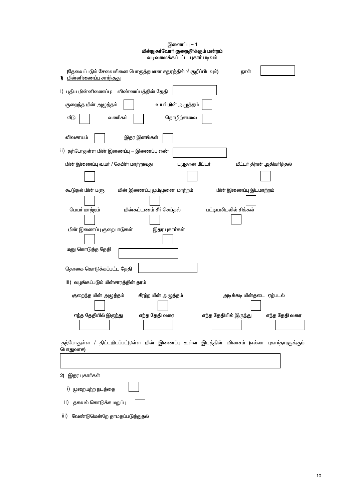| еліфелерілеренін ті тарып тайған а                                                                                  |
|---------------------------------------------------------------------------------------------------------------------|
| (தேவைப்படும் சேவையினை பொருத்தமான சதுரத்தில் $\sqrt{}$ குறிப்பிடவும்)<br>நாள்<br><u>மின்னிணைப்பு சார்ந்தது</u><br>1) |
| i) புதிய மின்னிணைப்பு: விண்ணப்பத்தின் தேதி                                                                          |
| குறைந்த மின் அழுத்தம்<br>உயா் மின் அழுத்தம்                                                                         |
| வணிகம்<br>தொழிற்சாலை<br>வீடு                                                                                        |
| விவசாயம்<br>இதர இனங்கள்                                                                                             |
| ii) தற்போதுள்ள மின் இணைப்பு — இணைப்பு எண்                                                                           |
| பழுதான மீட்டர்<br>மின் இணைப்பு வயா் / கேபிள் மாற்றுவது<br>மீட்டர் திறன் அதிகரித்தல்                                 |
|                                                                                                                     |
| மின் இணைப்பு மும்முனை மாற்றம்<br>மின் இணைப்பு இடமாற்றம்<br>கூடுதல் மின் பளு                                         |
| பெயர் மாற்றம்<br>மின்கட்டணம் சீர் செய்தல்<br>பட்டியலிடலில் சிக்கல்                                                  |
|                                                                                                                     |
| மின் இணைப்பு குறைபாடுகள்<br>இதர புகார்கள்                                                                           |
|                                                                                                                     |
| மனு கொடுத்த தேதி                                                                                                    |
| தொகை கொடுக்கப்பட்ட தேதி                                                                                             |
| iii) வழங்கப்படும் மின்சாரத்தின் தரம்                                                                                |
| சீரற்ற மின் அழுத்தம்<br>அடிக்கடி மின்தடை ஏற்படல்<br>குறைந்த மின் அழுத்தம்                                           |
| எந்த தேதியில் இருந்து<br>எந்த தேதி வரை<br>எந்த தேதியில் இருந்து<br>எந்த தேதி வரை                                    |
| தற்போதுள்ள / திட்டமிடப்பட்டுள்ள மின் இணைப்பு உள்ள இடத்தின் விலாசம் (எல்லா புகாா்தாரருக்கும்<br>பொதுவாக)             |
|                                                                                                                     |
| 2) இதர புகார்கள்                                                                                                    |
| i) முறையற்ற நடத்தை                                                                                                  |
| தகவல் கொடுக்க மறுப்பு<br>ii)                                                                                        |
| வேண்டுமென்றே தாமதப்படுத்துதல்<br>iii)                                                                               |

இணைப்பு — 1<br>**மின்நுகா்வோா் குறைதீா்க்கும் மன்றம்**<br>வடீவமைக்கப்பட்ட புகாா் படீவம்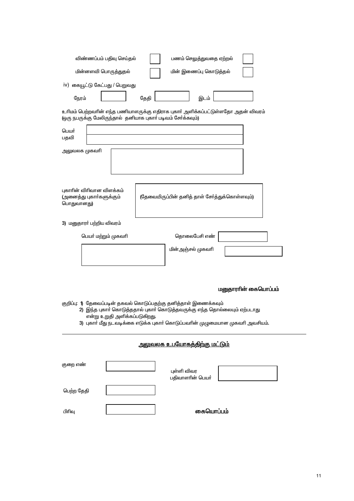| விண்ணப்பம் பதிவு செய்தல்<br>பணம் செலுத்துவதை ஏற்றல்                                                                                             |  |  |  |  |  |  |  |  |
|-------------------------------------------------------------------------------------------------------------------------------------------------|--|--|--|--|--|--|--|--|
| மின்னளவி பொருத்துதல்<br>மின் இணைப்பு கொடுத்தல்                                                                                                  |  |  |  |  |  |  |  |  |
| iv) கையூட்டு கேட்பது / பெறுவது                                                                                                                  |  |  |  |  |  |  |  |  |
| நேரம்<br>தேதி<br>இடம்                                                                                                                           |  |  |  |  |  |  |  |  |
| உரிமம் பெற்றவரின் எந்த பணியாளருக்கு எதிராக புகார் அளிக்கப்பட்டுள்ளதோ அதன் விவரம்<br>(ஒரு நபருக்கு மேலிருந்தால் தனியாக புகாா் படிவம் சோ்க்கவும்) |  |  |  |  |  |  |  |  |
| பெயர்<br>பதவி                                                                                                                                   |  |  |  |  |  |  |  |  |
| அலுவலக முகவரி                                                                                                                                   |  |  |  |  |  |  |  |  |
|                                                                                                                                                 |  |  |  |  |  |  |  |  |
|                                                                                                                                                 |  |  |  |  |  |  |  |  |
| புகாரின் விரிவான விளக்கம்<br>(தேவையிருப்பின் தனித் தாள் சேர்த்துக்கொள்ளவும்)<br>(அனைத்து புகார்களுக்கும்<br>பொதுவானது)                          |  |  |  |  |  |  |  |  |
|                                                                                                                                                 |  |  |  |  |  |  |  |  |
| 3) மனுதாரா் பற்றிய விவரம்                                                                                                                       |  |  |  |  |  |  |  |  |
| பெயா் மற்றும் முகவாி<br>தொலைபேசி எண்                                                                                                            |  |  |  |  |  |  |  |  |
| மின்அஞ்சல் முகவரி                                                                                                                               |  |  |  |  |  |  |  |  |
|                                                                                                                                                 |  |  |  |  |  |  |  |  |
| மனுதாராின் கையொப்பம்                                                                                                                            |  |  |  |  |  |  |  |  |
|                                                                                                                                                 |  |  |  |  |  |  |  |  |
| குறிப்பு: 1) தேவைப்படின் தகவல் கொடுப்பதற்கு தனித்தாள் இணைக்கவும்<br>2) இந்த புகார் கொடுத்ததால் புகார் கொடுத்தவருக்கு எந்த தொல்லையும் ஏற்படாது   |  |  |  |  |  |  |  |  |
| என்று உறுதி அளிக்கப்படுகிறது.<br>3) புகார் மீது நடவடிக்கை எடுக்க புகார் கொடுப்பவரின் முழுமையான முகவரி அவசியம்.                                  |  |  |  |  |  |  |  |  |
| <u>அலுவலக உபயோகத்திற்கு மட்டும்</u>                                                                                                             |  |  |  |  |  |  |  |  |
|                                                                                                                                                 |  |  |  |  |  |  |  |  |
| குறை எண்<br>புள்ளி விவர<br>பதிவாளரின் பெயா்                                                                                                     |  |  |  |  |  |  |  |  |
| பெற்ற தேதி                                                                                                                                      |  |  |  |  |  |  |  |  |
|                                                                                                                                                 |  |  |  |  |  |  |  |  |
| கையொப்பம்<br>பிரிவு                                                                                                                             |  |  |  |  |  |  |  |  |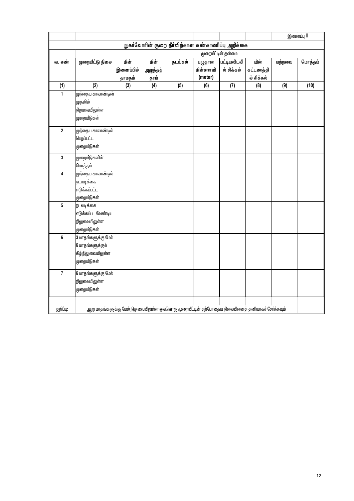|                                                  |                                                                                                   |                             |                          |         |                               |                                 |                                 |        | இணைப்பு II |
|--------------------------------------------------|---------------------------------------------------------------------------------------------------|-----------------------------|--------------------------|---------|-------------------------------|---------------------------------|---------------------------------|--------|------------|
| நுகர்வோரின் குறை தீர்விற்கான கண்காணிப்பு அறிக்கை |                                                                                                   |                             |                          |         |                               |                                 |                                 |        |            |
|                                                  | முறையீட்டின் தன்மை                                                                                |                             |                          |         |                               |                                 |                                 |        |            |
| வ. எண்                                           | முறையீட்டு நிலை                                                                                   | மின்<br>இணைப்பில்<br>தாமதம் | மின்<br>அழுத்தத்<br>தரம் | தடங்கல் | பழுதான<br>மின்னளவி<br>(meter) | __<br>பட்டியலிடலி<br>ல் சிக்கல் | மின்<br>கட்டணத்தி<br>ல் சிக்கல் | மற்றவை | மொத்தம்    |
| (1)                                              | (2)                                                                                               | (3)                         | (4)                      | (5)     | (6)                           | (7)                             | (8)                             | (9)    | (10)       |
| $\mathbf{1}$                                     | முந்தைய காலாண்டின்<br>முதலில்<br>நிலுவையிலுள்ள<br>முறையீடுகள்                                     |                             |                          |         |                               |                                 |                                 |        |            |
| $\boldsymbol{2}$                                 | முந்தைய காலாண் <mark>ட</mark> ில்<br>பெறப்பட்ட<br>முறையீடுகள்                                     |                             |                          |         |                               |                                 |                                 |        |            |
| $\mathbf 3$                                      | முறையீடுகளின்<br>மொத்தம்                                                                          |                             |                          |         |                               |                                 |                                 |        |            |
| 4                                                | முந்தைய காலாண்டில்<br>நடவடிக்கை<br>எடுக்கப்பட்ட<br>ழுறையீடுகள்                                    |                             |                          |         |                               |                                 |                                 |        |            |
| 5                                                | நடவடிக்கை<br>எடுக்கப்பட வேண்டிய<br>நிலுவையிலுள்ள<br>முறையீடுகள்                                   |                             |                          |         |                               |                                 |                                 |        |            |
| 6                                                | 3 மாதங்களுக்கு மேல்<br>6 மாதங்களுக்குக்<br>கீழ் நிலுவையிலுள்ள<br>முறையீடுகள்                      |                             |                          |         |                               |                                 |                                 |        |            |
| $\overline{7}$                                   | 6 மாதங்களுக்கு மேல்<br>நிலுவையிலுள்ள<br>முறையீடுகள்                                               |                             |                          |         |                               |                                 |                                 |        |            |
| குறிப்பு:                                        | ஆறு மாதங்களுக்கு மேல் நிலுவையிலுள்ள ஒவ்வொரு முறையீட்டின் தற்போதைய நிலையினைத் தனியாகச் சேர்க்கவும் |                             |                          |         |                               |                                 |                                 |        |            |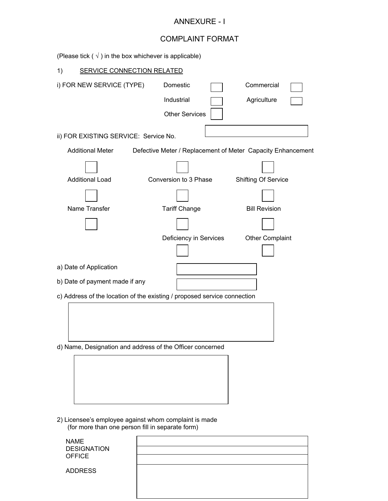## ANNEXURE - I

## COMPLAINT FORMAT

| (Please tick $(\sqrt{})$ ) in the box whichever is applicable)                                            |                                                             |                            |  |  |  |  |  |
|-----------------------------------------------------------------------------------------------------------|-------------------------------------------------------------|----------------------------|--|--|--|--|--|
| <b>SERVICE CONNECTION RELATED</b><br>1)                                                                   |                                                             |                            |  |  |  |  |  |
| i) FOR NEW SERVICE (TYPE)                                                                                 | Domestic<br>Industrial<br><b>Other Services</b>             | Commercial<br>Agriculture  |  |  |  |  |  |
| ii) FOR EXISTING SERVICE: Service No.                                                                     |                                                             |                            |  |  |  |  |  |
| <b>Additional Meter</b>                                                                                   | Defective Meter / Replacement of Meter Capacity Enhancement |                            |  |  |  |  |  |
| <b>Additional Load</b>                                                                                    | Conversion to 3 Phase                                       | <b>Shifting Of Service</b> |  |  |  |  |  |
|                                                                                                           |                                                             |                            |  |  |  |  |  |
| Name Transfer                                                                                             | <b>Tariff Change</b>                                        | <b>Bill Revision</b>       |  |  |  |  |  |
|                                                                                                           |                                                             |                            |  |  |  |  |  |
|                                                                                                           | Deficiency in Services                                      | <b>Other Complaint</b>     |  |  |  |  |  |
| a) Date of Application                                                                                    |                                                             |                            |  |  |  |  |  |
| b) Date of payment made if any                                                                            |                                                             |                            |  |  |  |  |  |
| c) Address of the location of the existing / proposed service connection                                  |                                                             |                            |  |  |  |  |  |
|                                                                                                           | d) Name, Designation and address of the Officer concerned   |                            |  |  |  |  |  |
|                                                                                                           |                                                             |                            |  |  |  |  |  |
| 2) Licensee's employee against whom complaint is made<br>(for more than one person fill in separate form) |                                                             |                            |  |  |  |  |  |
| <b>NAME</b><br><b>DESIGNATION</b><br><b>OFFICE</b>                                                        |                                                             |                            |  |  |  |  |  |
|                                                                                                           |                                                             |                            |  |  |  |  |  |

ADDRESS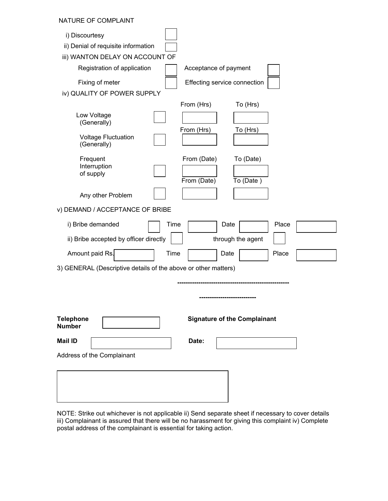## NATURE OF COMPLAINT

| <b>INATURE OF GUINE LAINT</b>                                                                       |                                     |
|-----------------------------------------------------------------------------------------------------|-------------------------------------|
| i) Discourtesy<br>ii) Denial of requisite information<br>iii) WANTON DELAY ON ACCOUNT OF            |                                     |
| Registration of application                                                                         | Acceptance of payment               |
| Fixing of meter<br>iv) QUALITY OF POWER SUPPLY                                                      | Effecting service connection        |
| From (Hrs)<br>Low Voltage<br>(Generally)<br>From (Hrs)<br><b>Voltage Fluctuation</b><br>(Generally) | To (Hrs)<br>To (Hrs)                |
| Frequent<br>From (Date)<br>Interruption<br>of supply<br>From (Date)                                 | To (Date)<br>To (Date)              |
| Any other Problem                                                                                   |                                     |
| v) DEMAND / ACCEPTANCE OF BRIBE                                                                     |                                     |
| i) Bribe demanded<br>Time                                                                           | Place<br>Date                       |
| ii) Bribe accepted by officer directly                                                              | through the agent                   |
| Amount paid Rs.<br>Time                                                                             | Place<br>Date                       |
| 3) GENERAL (Descriptive details of the above or other matters)                                      |                                     |
|                                                                                                     |                                     |
| <b>Telephone</b><br><b>Number</b>                                                                   | <b>Signature of the Complainant</b> |
| <b>Mail ID</b><br>Date:<br>Address of the Complainant                                               |                                     |
|                                                                                                     |                                     |
|                                                                                                     |                                     |
|                                                                                                     |                                     |

NOTE: Strike out whichever is not applicable ii) Send separate sheet if necessary to cover details iii) Complainant is assured that there will be no harassment for giving this complaint iv) Complete postal address of the complainant is essential for taking action.